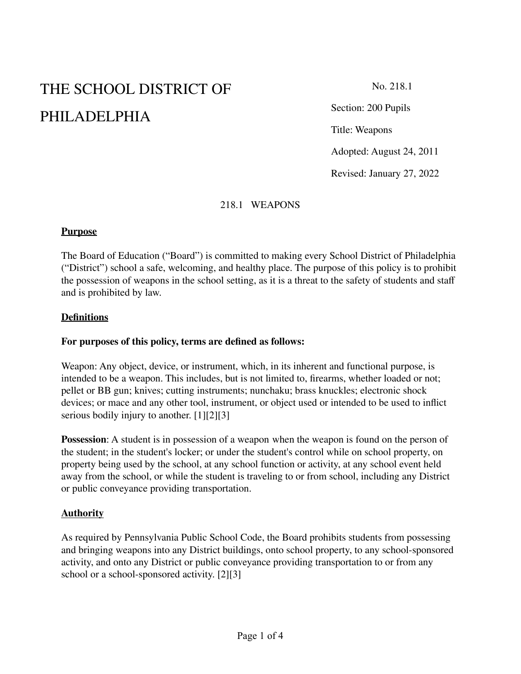# THE SCHOOL DISTRICT OF PHILADELPHIA

No. 218.1

Section: 200 Pupils

Title: Weapons

Adopted: August 24, 2011

Revised: January 27, 2022

# 218.1 WEAPONS

#### **Purpose**

The Board of Education ("Board") is committed to making every School District of Philadelphia ("District") school a safe, welcoming, and healthy place. The purpose of this policy is to prohibit the possession of weapons in the school setting, as it is a threat to the safety of students and staff and is prohibited by law.

#### **Definitions**

#### **For purposes of this policy, terms are defined as follows:**

Weapon: Any object, device, or instrument, which, in its inherent and functional purpose, is intended to be a weapon. This includes, but is not limited to, firearms, whether loaded or not; pellet or BB gun; knives; cutting instruments; nunchaku; brass knuckles; electronic shock devices; or mace and any other tool, instrument, or object used or intended to be used to inflict serious bodily injury to another. [1][2][3]

**Possession:** A student is in possession of a weapon when the weapon is found on the person of the student; in the student's locker; or under the student's control while on school property, on property being used by the school, at any school function or activity, at any school event held away from the school, or while the student is traveling to or from school, including any District or public conveyance providing transportation.

#### **Authority**

As required by Pennsylvania Public School Code, the Board prohibits students from possessing and bringing weapons into any District buildings, onto school property, to any school-sponsored activity, and onto any District or public conveyance providing transportation to or from any school or a school-sponsored activity. [2][3]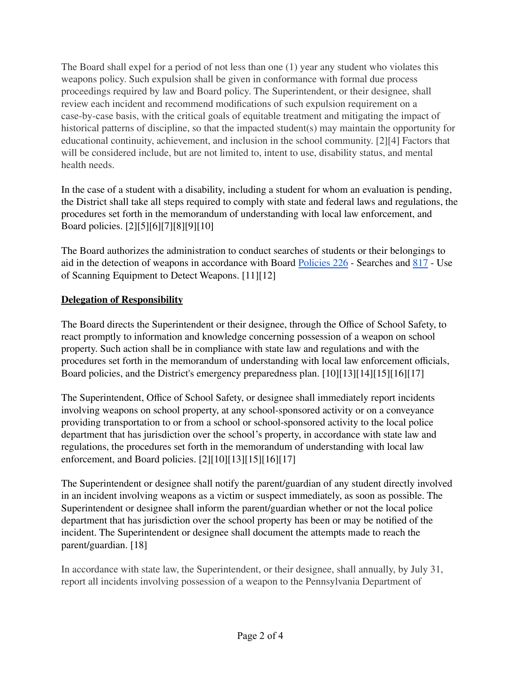The Board shall expel for a period of not less than one (1) year any student who violates this weapons policy. Such expulsion shall be given in conformance with formal due process proceedings required by law and Board policy. The Superintendent, or their designee, shall review each incident and recommend modifications of such expulsion requirement on a case-by-case basis, with the critical goals of equitable treatment and mitigating the impact of historical patterns of discipline, so that the impacted student(s) may maintain the opportunity for educational continuity, achievement, and inclusion in the school community. [2][4] Factors that will be considered include, but are not limited to, intent to use, disability status, and mental health needs.

In the case of a student with a disability, including a student for whom an evaluation is pending, the District shall take all steps required to comply with state and federal laws and regulations, the procedures set forth in the memorandum of understanding with local law enforcement, and Board policies. [2][5][6][7][8][9][10]

The Board authorizes the administration to conduct searches of students or their belongings to aid in the detection of weapons in accordance with Board [Policies](https://www.philasd.org/schoolboard/policies/) 226 - Searches and [817](https://www.philasd.org/schoolboard/policies/) - Use of Scanning Equipment to Detect Weapons. [11][12]

# **Delegation of Responsibility**

The Board directs the Superintendent or their designee, through the Office of School Safety, to react promptly to information and knowledge concerning possession of a weapon on school property. Such action shall be in compliance with state law and regulations and with the procedures set forth in the memorandum of understanding with local law enforcement officials, Board policies, and the District's emergency preparedness plan. [10][13][14][15][16][17]

The Superintendent, Office of School Safety, or designee shall immediately report incidents involving weapons on school property, at any school-sponsored activity or on a conveyance providing transportation to or from a school or school-sponsored activity to the local police department that has jurisdiction over the school's property, in accordance with state law and regulations, the procedures set forth in the memorandum of understanding with local law enforcement, and Board policies. [2][10][13][15][16][17]

The Superintendent or designee shall notify the parent/guardian of any student directly involved in an incident involving weapons as a victim or suspect immediately, as soon as possible. The Superintendent or designee shall inform the parent/guardian whether or not the local police department that has jurisdiction over the school property has been or may be notified of the incident. The Superintendent or designee shall document the attempts made to reach the parent/guardian. [18]

In accordance with state law, the Superintendent, or their designee, shall annually, by July 31, report all incidents involving possession of a weapon to the Pennsylvania Department of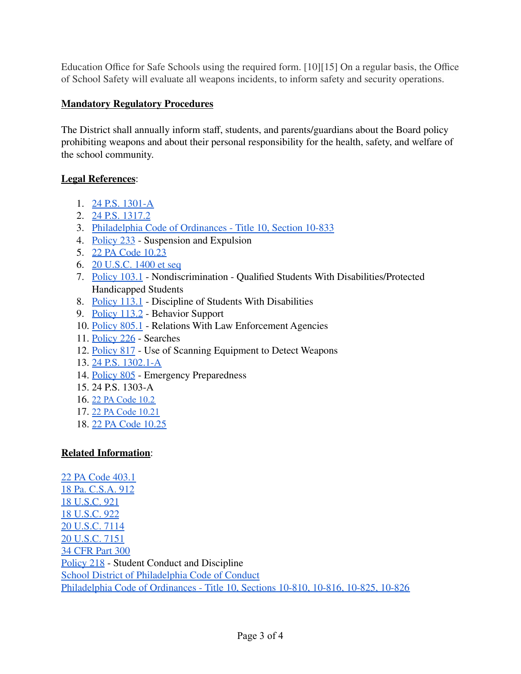Education Office for Safe Schools using the required form. [10][15] On a regular basis, the Office of School Safety will evaluate all weapons incidents, to inform safety and security operations.

## **Mandatory Regulatory Procedures**

The District shall annually inform staff, students, and parents/guardians about the Board policy prohibiting weapons and about their personal responsibility for the health, safety, and welfare of the school community.

### **Legal References**:

- 1. 24 P.S. [1301-A](https://www.legis.state.pa.us/cfdocs/legis/LI/uconsCheck.cfm?txtType=HTM&yr=1949&sessInd=0&smthLwInd=0&act=14&chpt=13A&sctn=1&subsctn=0)
- 2. 24 P.S. [1317.2](https://www.legis.state.pa.us/cfdocs/legis/LI/uconsCheck.cfm?txtType=HTM&yr=1949&sessInd=0&smthLwInd=0&act=14&chpt=13&sctn=17&subsctn=2)
- 3. Philadelphia Code of Ordinances Title [10, Section 10-833](https://codelibrary.amlegal.com/codes/philadelphia/latest/philadelphia_pa/0-0-0-200031#JD_10-833)
- 4. [Policy](https://www.philasd.org/schoolboard/policies/) 233 Suspension and Expulsion
- 5. 22 PA Code [10.23](http://www.pacodeandbulletin.gov/Display/pacode?file=/secure/pacode/data/022/chapter10/s10.23.html&d=reduce)
- 6. 20 [U.S.C.](https://www.law.cornell.edu/uscode/text/20/1400) 1400 et seq
- 7. [Policy](https://www.philasd.org/schoolboard/policies/) 103.1 Nondiscrimination Qualified Students With Disabilities/Protected Handicapped Students
- 8. [Policy](https://www.philasd.org/schoolboard/policies/) 113.1 Discipline of Students With Disabilities
- 9. [Policy](https://www.philasd.org/schoolboard/policies/) 113.2 Behavior Support
- 10. [Policy](https://www.philasd.org/schoolboard/policies/) 805.1 Relations With Law Enforcement Agencies
- 11. [Policy](https://www.philasd.org/schoolboard/policies/) 226 Searches
- 12. [Policy](https://www.philasd.org/schoolboard/policies/) 817 Use of Scanning Equipment to Detect Weapons
- 13. 24 P.S. [1302.1-A](https://www.legis.state.pa.us/cfdocs/legis/LI/uconsCheck.cfm?txtType=HTM&yr=1949&sessInd=0&smthLwInd=0&act=014&chpt=13A)
- 14. [Policy](https://www.philasd.org/schoolboard/policies/) 805 Emergency Preparedness
- 15. 24 P.S. 1303-A
- 16. 22 PA [Code](http://www.pacodeandbulletin.gov/Display/pacode?file=/secure/pacode/data/022/chapter10/chap10toc.html&d=) 10.2
- 17. 22 PA Code [10.21](http://www.pacodeandbulletin.gov/Display/pacode?file=/secure/pacode/data/022/chapter10/chap10toc.html&d=)
- 18. 22 PA Code [10.25](http://www.pacodeandbulletin.gov/Display/pacode?file=/secure/pacode/data/022/chapter10/chap10toc.html&d=)

# **Related Information**:

 PA Code [403.1](http://www.pacodeandbulletin.gov/Display/pacode?file=/secure/pacode/data/022/chapter403/chap403toc.html&d=reduce) Pa. [C.S.A.](https://www.legis.state.pa.us/cfdocs/legis/LI/consCheck.cfm?txtType=HTM&ttl=18&div=0&chpt=9&sctn=12&subsctn=0) 912 [U.S.C.](https://www.law.cornell.edu/uscode/text/18/921) 921 [U.S.C.](https://www.law.cornell.edu/uscode/text/18/922) 922 [U.S.C.](https://www.law.cornell.edu/uscode/text/20/7114) 7114 [U.S.C.](https://law.justia.com/codes/us/2014/title-20/chapter-70/subchapter-iv/part-a/subpart-3/sec.-7151/) 7151 [CFR](https://www.law.cornell.edu/cfr/text/34/part-300) Part 300 [Policy](https://www.philasd.org/schoolboard/policies/) 218 - Student Conduct and Discipline School District of [Philadelphia](https://www.philasd.org/studentrights/) Code of Conduct Philadelphia Code of Ordinances - Title [10, Sections 10-810, 10-816, 10-825, 10-826](https://codelibrary.amlegal.com/codes/philadelphia/latest/philadelphia_pa/0-0-0-199552)